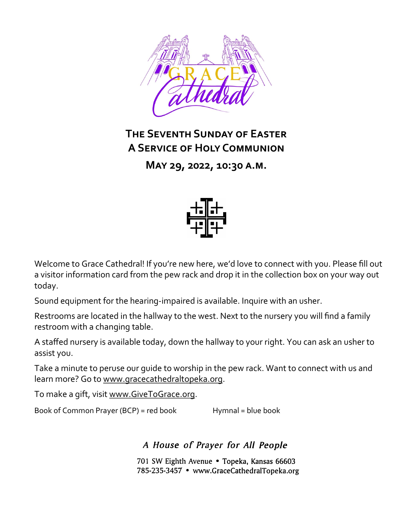

# **The Seventh Sunday of Easter A Service of Holy Communion**

**May 29, 2022, 10:30 a.m.**



Welcome to Grace Cathedral! If you're new here, we'd love to connect with you. Please fill out a visitor information card from the pew rack and drop it in the collection box on your way out today.

Sound equipment for the hearing-impaired is available. Inquire with an usher.

Restrooms are located in the hallway to the west. Next to the nursery you will find a family restroom with a changing table.

A staffed nursery is available today, down the hallway to your right. You can ask an usher to assist you.

Take a minute to peruse our guide to worship in the pew rack. Want to connect with us and learn more? Go to [www.gracecathedraltopeka.org.](http://www.gracecathedraltopeka.org)

To make a gift, visit [www.GiveToGrace.org.](http://www.GiveToGrace.org)

Book of Common Prayer (BCP) = red book Hymnal = blue book

A House of Prayer for All People

701 SW Eighth Avenue . Topeka, Kansas 66603 785-235-3457 • www.GraceCathedralTopeka.org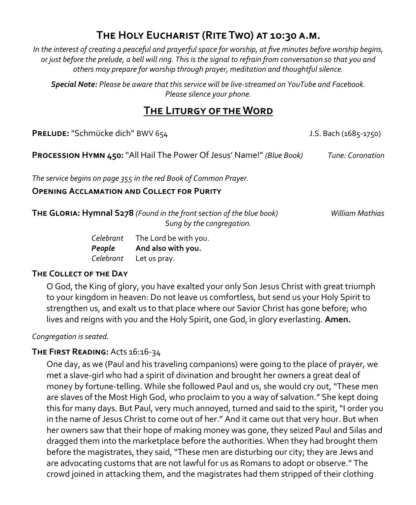# **The Holy Eucharist (Rite Two) at 10:30 a.m.**

*In the interest of creating a peaceful and prayerful space for worship, at five minutes before worship begins, or just before the prelude, a bell will ring. This is the signal to refrain from conversation so that you and others may prepare for worship through prayer, meditation and thoughtful silence.*

*Special Note: Please be aware that this service will be live-streamed on YouTube and Facebook. Please silence your phone.*

## **The Liturgy of the Word**

**PRELUDE:** "Schmücke dich" BWV 654 J.S. Bach (1685-1750)

**Procession Hymn 450:**"All Hail The Power Of Jesus' Name!" *(Blue Book) Tune: Coronation*

*The service begins on page 355 in the red Book of Common Prayer.*

#### **Opening Acclamation and Collect for Purity**

**The Gloria: Hymnal S278** *(Found in the front section of the blue book) William Mathias Sung by the congregation.*

*Celebrant* The Lord be with you. *People* **And also with you.** *Celebrant* Let us pray.

## **The Collect of the Day**

O God, the King of glory, you have exalted your only Son Jesus Christ with great triumph to your kingdom in heaven: Do not leave us comfortless, but send us your Holy Spirit to strengthen us, and exalt us to that place where our Savior Christ has gone before; who lives and reigns with you and the Holy Spirit, one God, in glory everlasting. **Amen.**

## *Congregation is seated.*

## **The First Reading:** Acts 16:16-34

One day, as we (Paul and his traveling companions) were going to the place of prayer, we met a slave-girl who had a spirit of divination and brought her owners a great deal of money by fortune-telling. While she followed Paul and us, she would cry out, "These men are slaves of the Most High God, who proclaim to you a way of salvation." She kept doing this for many days. But Paul, very much annoyed, turned and said to the spirit, "I order you in the name of Jesus Christ to come out of her." And it came out that very hour. But when her owners saw that their hope of making money was gone, they seized Paul and Silas and dragged them into the marketplace before the authorities. When they had brought them before the magistrates, they said, "These men are disturbing our city; they are Jews and are advocating customs that are not lawful for us as Romans to adopt or observe." The crowd joined in attacking them, and the magistrates had them stripped of their clothing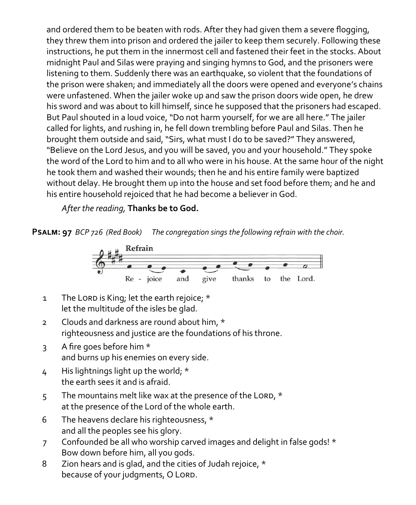and ordered them to be beaten with rods. After they had given them a severe flogging, they threw them into prison and ordered the jailer to keep them securely. Following these instructions, he put them in the innermost cell and fastened their feet in the stocks. About midnight Paul and Silas were praying and singing hymns to God, and the prisoners were listening to them. Suddenly there was an earthquake, so violent that the foundations of the prison were shaken; and immediately all the doors were opened and everyone's chains were unfastened. When the jailer woke up and saw the prison doors wide open, he drew his sword and was about to kill himself, since he supposed that the prisoners had escaped. But Paul shouted in a loud voice, "Do not harm yourself, for we are all here." The jailer called for lights, and rushing in, he fell down trembling before Paul and Silas. Then he brought them outside and said, "Sirs, what must I do to be saved?" They answered, "Believe on the Lord Jesus, and you will be saved, you and your household." They spoke the word of the Lord to him and to all who were in his house. At the same hour of the night he took them and washed their wounds; then he and his entire family were baptized without delay. He brought them up into the house and set food before them; and he and his entire household rejoiced that he had become a believer in God.

*After the reading,* **Thanks be to God.**

**Psalm: 97** *BCP 726 (Red Book) The congregation sings the following refrain with the choir.*



- 1 The Lord is King; let the earth rejoice; \* let the multitude of the isles be glad.
- 2 Clouds and darkness are round about him, \* righteousness and justice are the foundations of his throne.
- 3 A fire goes before him \* and burns up his enemies on every side.
- 4 His lightnings light up the world; \* the earth sees it and is afraid.
- 5 The mountains melt like wax at the presence of the LORD,  $*$ at the presence of the Lord of the whole earth.
- 6 The heavens declare his righteousness, \* and all the peoples see his glory.
- 7 Confounded be all who worship carved images and delight in false gods! \* Bow down before him, all you gods.
- 8 Zion hears and is glad, and the cities of Judah rejoice, \* because of your judgments, O LORD.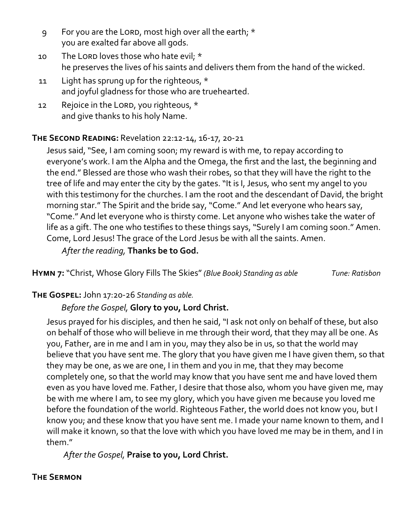- 9 For you are the Lord, most high over all the earth; \* you are exalted far above all gods.
- 10 The Lord loves those who hate evil; \* he preserves the lives of his saints and delivers them from the hand of the wicked.
- 11 Light has sprung up for the righteous, \* and joyful gladness for those who are truehearted.
- 12 Rejoice in the LORD, you righteous, \* and give thanks to his holy Name.

## **The Second Reading:** Revelation 22:12-14, 16-17, 20-21

Jesus said, "See, I am coming soon; my reward is with me, to repay according to everyone's work. I am the Alpha and the Omega, the first and the last, the beginning and the end." Blessed are those who wash their robes, so that they will have the right to the tree of life and may enter the city by the gates. "It is I, Jesus, who sent my angel to you with this testimony for the churches. I am the root and the descendant of David, the bright morning star." The Spirit and the bride say, "Come." And let everyone who hears say, "Come." And let everyone who is thirsty come. Let anyone who wishes take the water of life as a gift. The one who testifies to these things says, "Surely I am coming soon." Amen. Come, Lord Jesus! The grace of the Lord Jesus be with all the saints. Amen.

*After the reading,* **Thanks be to God.**

**Hymn 7:**"Christ, Whose Glory Fills The Skies" *(Blue Book) Standing as able Tune: Ratisbon*

## **The Gospel:** John 17:20-26 *Standing as able.*

## *Before the Gospel,* **Glory to you, Lord Christ.**

Jesus prayed for his disciples, and then he said, "I ask not only on behalf of these, but also on behalf of those who will believe in me through their word, that they may all be one. As you, Father, are in me and I am in you, may they also be in us, so that the world may believe that you have sent me. The glory that you have given me I have given them, so that they may be one, as we are one, I in them and you in me, that they may become completely one, so that the world may know that you have sent me and have loved them even as you have loved me. Father, I desire that those also, whom you have given me, may be with me where I am, to see my glory, which you have given me because you loved me before the foundation of the world. Righteous Father, the world does not know you, but I know you; and these know that you have sent me. I made your name known to them, and I will make it known, so that the love with which you have loved me may be in them, and I in them."

*After the Gospel,* **Praise to you, Lord Christ.**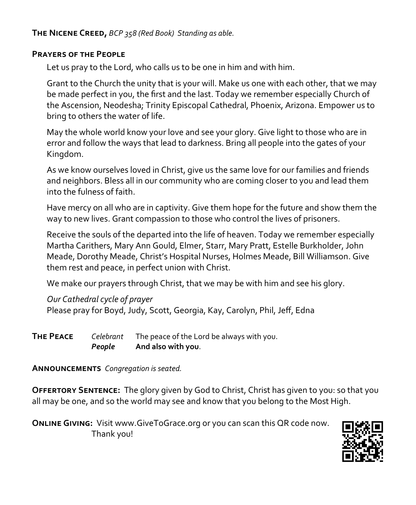**The Nicene Creed,** *BCP 358 (Red Book) Standing as able.*

## **Prayers of the People**

Let us pray to the Lord, who calls us to be one in him and with him.

Grant to the Church the unity that is your will. Make us one with each other, that we may be made perfect in you, the first and the last. Today we remember especially Church of the Ascension, Neodesha; Trinity Episcopal Cathedral, Phoenix, Arizona. Empower us to bring to others the water of life.

May the whole world know your love and see your glory. Give light to those who are in error and follow the ways that lead to darkness. Bring all people into the gates of your Kingdom.

As we know ourselves loved in Christ, give us the same love for our families and friends and neighbors. Bless all in our community who are coming closer to you and lead them into the fulness of faith.

Have mercy on all who are in captivity. Give them hope for the future and show them the way to new lives. Grant compassion to those who control the lives of prisoners.

Receive the souls of the departed into the life of heaven. Today we remember especially Martha Carithers, Mary Ann Gould, Elmer, Starr, Mary Pratt, Estelle Burkholder, John Meade, Dorothy Meade, Christ's Hospital Nurses, Holmes Meade, Bill Williamson. Give them rest and peace, in perfect union with Christ.

We make our prayers through Christ, that we may be with him and see his glory.

*Our Cathedral cycle of prayer* Please pray for Boyd, Judy, Scott, Georgia, Kay, Carolyn, Phil, Jeff, Edna

**The Peace** *Celebrant* The peace of the Lord be always with you. *People* **And also with you**.

**Announcements** *Congregation is seated.*

**Offertory Sentence:** The glory given by God to Christ, Christ has given to you: so that you all may be one, and so the world may see and know that you belong to the Most High.

**Online Giving:** Visit www.GiveToGrace.org or you can scan this QR code now. Thank you!

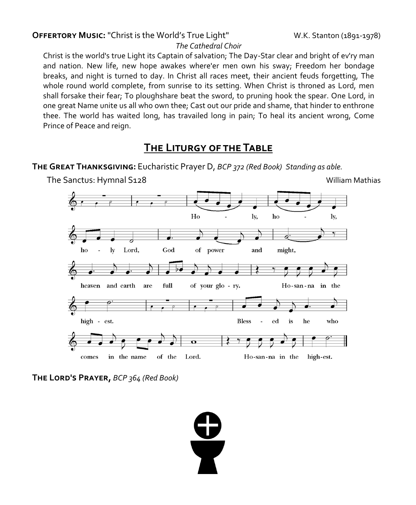## **OFFERTORY MUSIC:** "Christ is the World's True Light" W.K. Stanton (1891-1978)

#### *The Cathedral Choir*

Christ is the world's true Light its Captain of salvation; The Day-Star clear and bright of ev'ry man and nation. New life, new hope awakes where'er men own his sway; Freedom her bondage breaks, and night is turned to day. In Christ all races meet, their ancient feuds forgetting, The whole round world complete, from sunrise to its setting. When Christ is throned as Lord, men shall forsake their fear; To ploughshare beat the sword, to pruning hook the spear. One Lord, in one great Name unite us all who own thee; Cast out our pride and shame, that hinder to enthrone thee. The world has waited long, has travailed long in pain; To heal its ancient wrong, Come Prince of Peace and reign.

## **The Liturgy of the Table**

**The Great Thanksgiving:** Eucharistic Prayer D, *BCP 372 (Red Book) Standing as able.*



**The Lord's Prayer,** *BCP 364 (Red Book)*

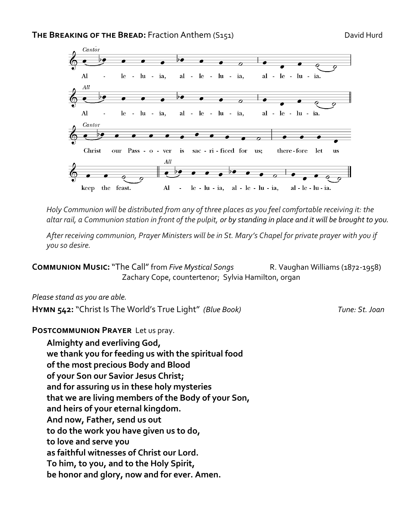

*Holy Communion will be distributed from any of three places as you feel comfortable receiving it: the altar rail, a Communion station in front of the pulpit, or by standing in place and it will be brought to you.* 

*After receiving communion, Prayer Ministers will be in St. Mary's Chapel for private prayer with you if you so desire.* 

**COMMUNION MUSIC:** "The Call" from *Five Mystical Songs* R. Vaughan Williams (1872-1958) Zachary Cope, countertenor; Sylvia Hamilton, organ

#### *Please stand as you are able.*

**Hymn 542:**"Christ Is The World's True Light" *(Blue Book) Tune: St. Joan*

**Postcommunion Prayer** Let us pray.

**Almighty and everliving God, we thank you for feeding us with the spiritual food of the most precious Body and Blood of your Son our Savior Jesus Christ; and for assuring us in these holy mysteries that we are living members of the Body of your Son, and heirs of your eternal kingdom. And now, Father, send us out to do the work you have given us to do, to love and serve you as faithful witnesses of Christ our Lord. To him, to you, and to the Holy Spirit, be honor and glory, now and for ever. Amen.**